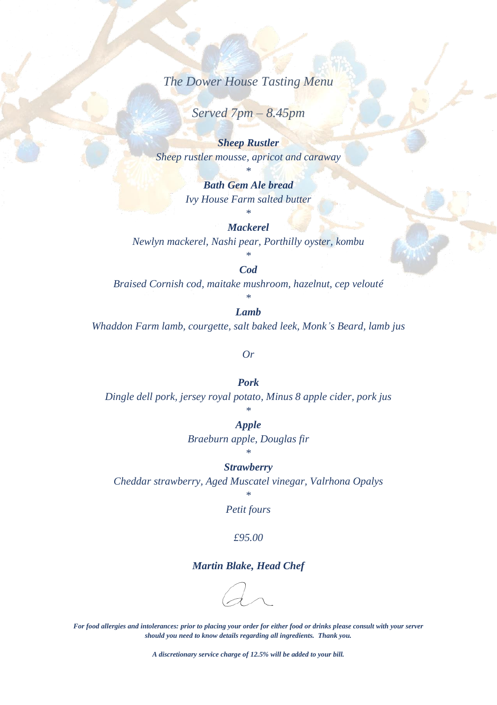*The Dower House Tasting Menu* 

*Served 7pm – 8.45pm*

*Sheep Rustler Sheep rustler mousse, apricot and caraway*

> *\* Bath Gem Ale bread Ivy House Farm salted butter*

# *\* Mackerel*

*Newlyn mackerel, Nashi pear, Porthilly oyster, kombu*

*\* Cod*

*Braised Cornish cod, maitake mushroom, hazelnut, cep velouté*

*\* Lamb*

*Whaddon Farm lamb, courgette, salt baked leek, Monk's Beard, lamb jus*

#### *Or*

*Pork Dingle dell pork, jersey royal potato, Minus 8 apple cider, pork jus*

# *\**

*Apple Braeburn apple, Douglas fir \**

#### *Strawberry*

*Cheddar strawberry, Aged Muscatel vinegar, Valrhona Opalys* 

*\* Petit fours*

#### *£95.00*

### *Martin Blake, Head Chef*

*For food allergies and intolerances: prior to placing your order for either food or drinks please consult with your server should you need to know details regarding all ingredients. Thank you.*

*A discretionary service charge of 12.5% will be added to your bill.*